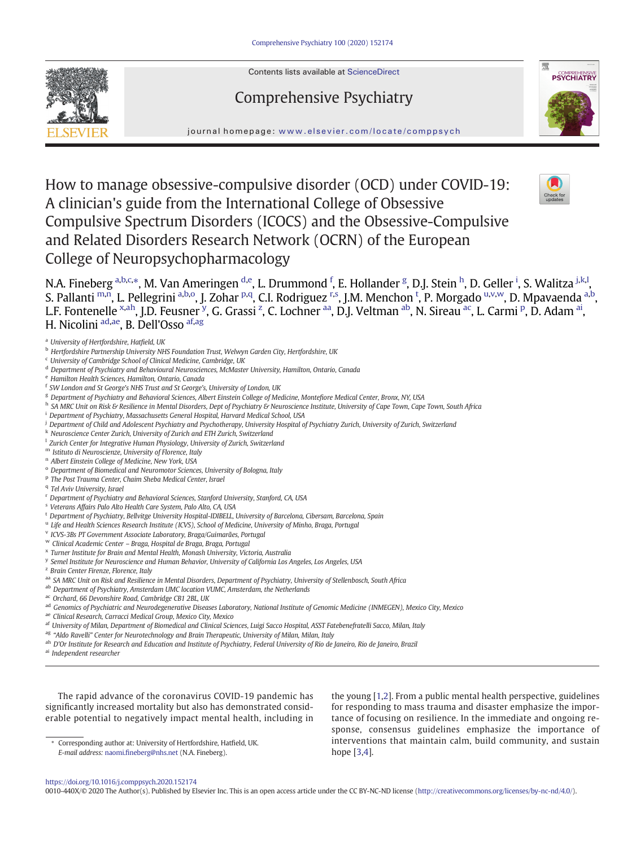Contents lists available at ScienceDirect

Comprehensive Psychiatry





journal homepage: <www.elsevier.com/locate/comppsych>

How to manage obsessive-compulsive disorder (OCD) under COVID-19: A clinician's guide from the International College of Obsessive Compulsive Spectrum Disorders (ICOCS) and the Obsessive-Compulsive and Related Disorders Research Network (OCRN) of the European College of Neuropsychopharmacology



N.A. Fineberg <sup>a,b,c,</sup>\*, M. Van Ameringen <sup>d,e</sup>, L. Drummond <sup>f</sup>, E. Hollander <sup>g</sup>, D.J. Stein <sup>h</sup>, D. Geller <sup>i</sup>, S. Walitza <sup>j,k,l</sup> , S. Pallanti <sup>m,n</sup>, L. Pellegrini <sup>a,b,o</sup>, J. Zohar <sup>p,q</sup>, C.I. Rodriguez <sup>r,s</sup>, J.M. Menchon <sup>t</sup>, P. Morgado <sup>u,v,w</sup>, D. Mpavaenda <sup>a,b</sup>, L.F. Fontenelle <sup>x,ah</sup>, J.D. Feusner <sup>y</sup>, G. Grassi <sup>z</sup>, C. Lochner <sup>aa</sup>, D.J. Veltman <sup>ab</sup>, N. Sireau <sup>ac</sup>, L. Carmi <sup>p</sup>, D. Adam <sup>ai</sup>, H. Nicolini <sup>ad,ae</sup>, B. Dell'Osso <sup>af,ag</sup>

- <sup>b</sup> Hertfordshire Partnership University NHS Foundation Trust, Welwyn Garden City, Hertfordshire, UK
- <sup>c</sup> University of Cambridge School of Clinical Medicine, Cambridge, UK
- <sup>d</sup> Department of Psychiatry and Behavioural Neurosciences, McMaster University, Hamilton, Ontario, Canada
- <sup>e</sup> Hamilton Health Sciences, Hamilton, Ontario, Canada
- <sup>f</sup> SW London and St George's NHS Trust and St George's, University of London, UK
- <sup>g</sup> Department of Psychiatry and Behavioral Sciences, Albert Einstein College of Medicine, Montefiore Medical Center, Bronx, NY, USA
- h SA MRC Unit on Risk & Resilience in Mental Disorders, Dept of Psychiatry & Neuroscience Institute, University of Cape Town, Cape Town, South Africa
- <sup>i</sup> Department of Psychiatry, Massachusetts General Hospital, Harvard Medical School, USA
- <sup>j</sup> Department of Child and Adolescent Psychiatry and Psychotherapy, University Hospital of Psychiatry Zurich, University of Zurich, Switzerland
- k Neuroscience Center Zurich, University of Zurich and ETH Zurich, Switzerland
- $^{\rm l}$  Zurich Center for Integrative Human Physiology, University of Zurich, Switzerland
- <sup>m</sup> Istituto di Neuroscienze, University of Florence, Italy
- <sup>n</sup> Albert Einstein College of Medicine, New York, USA
- <sup>o</sup> Department of Biomedical and Neuromotor Sciences, University of Bologna, Italy
- <sup>p</sup> The Post Trauma Center, Chaim Sheba Medical Center, Israel
- <sup>q</sup> Tel Aviv University, Israel
- <sup>r</sup> Department of Psychiatry and Behavioral Sciences, Stanford University, Stanford, CA, USA
- <sup>s</sup> Veterans Affairs Palo Alto Health Care System, Palo Alto, CA, USA
- <sup>t</sup> Department of Psychiatry, Bellvitge University Hospital-IDIBELL, University of Barcelona, Cibersam, Barcelona, Spain
- <sup>u</sup> Life and Health Sciences Research Institute (ICVS), School of Medicine, University of Minho, Braga, Portugal
- <sup>v</sup> ICVS-3Bs PT Government Associate Laboratory, Braga/Guimarães, Portugal
- <sup>w</sup> Clinical Academic Center Braga, Hospital de Braga, Braga, Portugal
- <sup>x</sup> Turner Institute for Brain and Mental Health, Monash University, Victoria, Australia
- <sup>y</sup> Semel Institute for Neuroscience and Human Behavior, University of California Los Angeles, Los Angeles, USA
- <sup>z</sup> Brain Center Firenze, Florence, Italy
- aa SA MRC Unit on Risk and Resilience in Mental Disorders, Department of Psychiatry, University of Stellenbosch, South Africa
- ab Department of Psychiatry, Amsterdam UMC location VUMC, Amsterdam, the Netherlands
- ac Orchard, 66 Devonshire Road, Cambridge CB1 2BL, UK
- ad Genomics of Psychiatric and Neurodegenerative Diseases Laboratory, National Institute of Genomic Medicine (INMEGEN), Mexico City, Mexico
- ae Clinical Research, Carracci Medical Group, Mexico City, Mexico
- af University of Milan, Department of Biomedical and Clinical Sciences, Luigi Sacco Hospital, ASST Fatebenefratelli Sacco, Milan, Italy
- ag "Aldo Ravelli" Center for Neurotechnology and Brain Therapeutic, University of Milan, Milan, Italy
- ah D'Or Institute for Research and Education and Institute of Psychiatry, Federal University of Rio de Janeiro, Rio de Janeiro, Brazil ai Independent researcher

The rapid advance of the coronavirus COVID-19 pandemic has significantly increased mortality but also has demonstrated considerable potential to negatively impact mental health, including in the young [[1,2\]](#page-4-0). From a public mental health perspective, guidelines for responding to mass trauma and disaster emphasize the importance of focusing on resilience. In the immediate and ongoing response, consensus guidelines emphasize the importance of interventions that maintain calm, build community, and sustain hope [[3,4](#page-4-0)].

0010-440X/© 2020 The Author(s). Published by Elsevier Inc. This is an open access article under the CC BY-NC-ND license (<http://creativecommons.org/licenses/by-nc-nd/4.0/>).

<sup>a</sup> University of Hertfordshire, Hatfield, UK

<sup>⁎</sup> Corresponding author at: University of Hertfordshire, Hatfield, UK. E-mail address: naomi.fi[neberg@nhs.net](mailto:naomi.fineberg@nhs.net) (N.A. Fineberg).

<https://doi.org/10.1016/j.comppsych.2020.152174>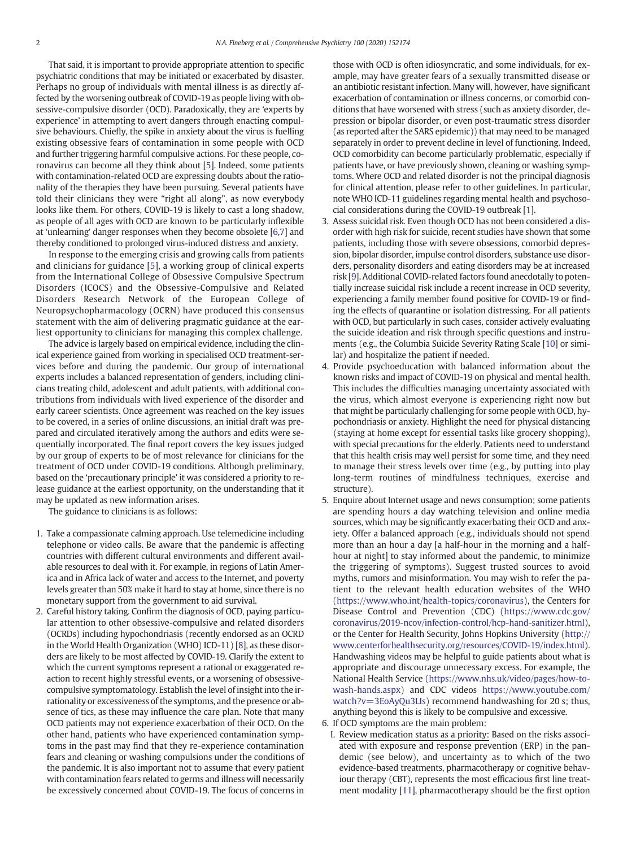That said, it is important to provide appropriate attention to specific psychiatric conditions that may be initiated or exacerbated by disaster. Perhaps no group of individuals with mental illness is as directly affected by the worsening outbreak of COVID-19 as people living with obsessive-compulsive disorder (OCD). Paradoxically, they are 'experts by experience' in attempting to avert dangers through enacting compulsive behaviours. Chiefly, the spike in anxiety about the virus is fuelling existing obsessive fears of contamination in some people with OCD and further triggering harmful compulsive actions. For these people, coronavirus can become all they think about [\[5\]](#page-4-0). Indeed, some patients with contamination-related OCD are expressing doubts about the rationality of the therapies they have been pursuing. Several patients have told their clinicians they were "right all along", as now everybody looks like them. For others, COVID-19 is likely to cast a long shadow, as people of all ages with OCD are known to be particularly inflexible at 'unlearning' danger responses when they become obsolete [[6,7](#page-4-0)] and thereby conditioned to prolonged virus-induced distress and anxiety.

In response to the emerging crisis and growing calls from patients and clinicians for guidance [[5](#page-4-0)], a working group of clinical experts from the International College of Obsessive Compulsive Spectrum Disorders (ICOCS) and the Obsessive-Compulsive and Related Disorders Research Network of the European College of Neuropsychopharmacology (OCRN) have produced this consensus statement with the aim of delivering pragmatic guidance at the earliest opportunity to clinicians for managing this complex challenge.

The advice is largely based on empirical evidence, including the clinical experience gained from working in specialised OCD treatment-services before and during the pandemic. Our group of international experts includes a balanced representation of genders, including clinicians treating child, adolescent and adult patients, with additional contributions from individuals with lived experience of the disorder and early career scientists. Once agreement was reached on the key issues to be covered, in a series of online discussions, an initial draft was prepared and circulated iteratively among the authors and edits were sequentially incorporated. The final report covers the key issues judged by our group of experts to be of most relevance for clinicians for the treatment of OCD under COVID-19 conditions. Although preliminary, based on the 'precautionary principle' it was considered a priority to release guidance at the earliest opportunity, on the understanding that it may be updated as new information arises.

The guidance to clinicians is as follows:

- 1. Take a compassionate calming approach. Use telemedicine including telephone or video calls. Be aware that the pandemic is affecting countries with different cultural environments and different available resources to deal with it. For example, in regions of Latin America and in Africa lack of water and access to the Internet, and poverty levels greater than 50% make it hard to stay at home, since there is no monetary support from the government to aid survival.
- 2. Careful history taking. Confirm the diagnosis of OCD, paying particular attention to other obsessive-compulsive and related disorders (OCRDs) including hypochondriasis (recently endorsed as an OCRD in the World Health Organization (WHO) ICD-11) [\[8\]](#page-4-0), as these disorders are likely to be most affected by COVID-19. Clarify the extent to which the current symptoms represent a rational or exaggerated reaction to recent highly stressful events, or a worsening of obsessivecompulsive symptomatology. Establish the level of insight into the irrationality or excessiveness of the symptoms, and the presence or absence of tics, as these may influence the care plan. Note that many OCD patients may not experience exacerbation of their OCD. On the other hand, patients who have experienced contamination symptoms in the past may find that they re-experience contamination fears and cleaning or washing compulsions under the conditions of the pandemic. It is also important not to assume that every patient with contamination fears related to germs and illness will necessarily be excessively concerned about COVID-19. The focus of concerns in

those with OCD is often idiosyncratic, and some individuals, for example, may have greater fears of a sexually transmitted disease or an antibiotic resistant infection. Many will, however, have significant exacerbation of contamination or illness concerns, or comorbid conditions that have worsened with stress (such as anxiety disorder, depression or bipolar disorder, or even post-traumatic stress disorder (as reported after the SARS epidemic)) that may need to be managed separately in order to prevent decline in level of functioning. Indeed, OCD comorbidity can become particularly problematic, especially if patients have, or have previously shown, cleaning or washing symptoms. Where OCD and related disorder is not the principal diagnosis for clinical attention, please refer to other guidelines. In particular, note WHO ICD-11 guidelines regarding mental health and psychosocial considerations during the COVID-19 outbreak [[1](#page-4-0)].

- 3. Assess suicidal risk. Even though OCD has not been considered a disorder with high risk for suicide, recent studies have shown that some patients, including those with severe obsessions, comorbid depression, bipolar disorder, impulse control disorders, substance use disorders, personality disorders and eating disorders may be at increased risk [\[9\]](#page-4-0). Additional COVID-related factors found anecdotally to potentially increase suicidal risk include a recent increase in OCD severity, experiencing a family member found positive for COVID-19 or finding the effects of quarantine or isolation distressing. For all patients with OCD, but particularly in such cases, consider actively evaluating the suicide ideation and risk through specific questions and instruments (e.g., the Columbia Suicide Severity Rating Scale [\[10\]](#page-4-0) or similar) and hospitalize the patient if needed.
- 4. Provide psychoeducation with balanced information about the known risks and impact of COVID-19 on physical and mental health. This includes the difficulties managing uncertainty associated with the virus, which almost everyone is experiencing right now but that might be particularly challenging for some people with OCD, hypochondriasis or anxiety. Highlight the need for physical distancing (staying at home except for essential tasks like grocery shopping), with special precautions for the elderly. Patients need to understand that this health crisis may well persist for some time, and they need to manage their stress levels over time (e.g., by putting into play long-term routines of mindfulness techniques, exercise and structure).
- 5. Enquire about Internet usage and news consumption; some patients are spending hours a day watching television and online media sources, which may be significantly exacerbating their OCD and anxiety. Offer a balanced approach (e.g., individuals should not spend more than an hour a day [a half-hour in the morning and a halfhour at night] to stay informed about the pandemic, to minimize the triggering of symptoms). Suggest trusted sources to avoid myths, rumors and misinformation. You may wish to refer the patient to the relevant health education websites of the WHO [\(https://www.who.int/health-topics/coronavirus\)](https://www.who.int/health-topics/coronavirus), the Centers for Disease Control and Prevention (CDC) [\(https://www.cdc.gov/](https://www.cdc.gov/coronavirus/2019-ncov/infection-control/hcp-hand-sanitizer.html) [coronavirus/2019-ncov/infection-control/hcp-hand-sanitizer.html\)](https://www.cdc.gov/coronavirus/2019-ncov/infection-control/hcp-hand-sanitizer.html), or the Center for Health Security, Johns Hopkins University [\(http://](http://www.centerforhealthsecurity.org/resources/COVID-19/index.html) [www.centerforhealthsecurity.org/resources/COVID-19/index.html\)](http://www.centerforhealthsecurity.org/resources/COVID-19/index.html). Handwashing videos may be helpful to guide patients about what is appropriate and discourage unnecessary excess. For example, the National Health Service ([https://www.nhs.uk/video/pages/how-to](https://www.nhs.uk/video/pages/how-to-wash-hands.aspx)[wash-hands.aspx](https://www.nhs.uk/video/pages/how-to-wash-hands.aspx)) and CDC videos [https://www.youtube.com/](https://www.youtube.com/watch?v=3EoAyQu3LIs) [watch?v=3EoAyQu3LIs\)](https://www.youtube.com/watch?v=3EoAyQu3LIs) recommend handwashing for 20 s; thus, anything beyond this is likely to be compulsive and excessive.
- 6. If OCD symptoms are the main problem:
- I. Review medication status as a priority: Based on the risks associated with exposure and response prevention (ERP) in the pandemic (see below), and uncertainty as to which of the two evidence-based treatments, pharmacotherapy or cognitive behaviour therapy (CBT), represents the most efficacious first line treatment modality [[11](#page-4-0)], pharmacotherapy should be the first option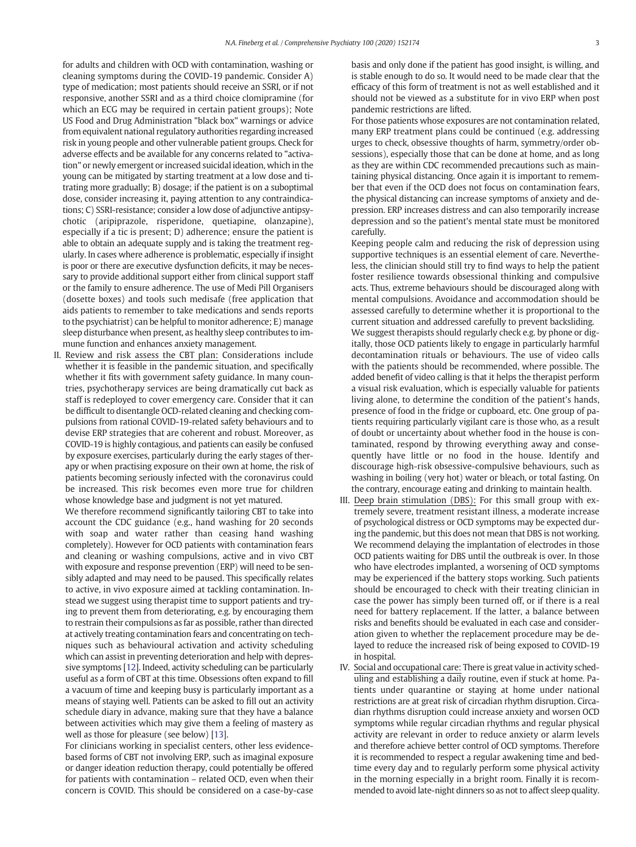for adults and children with OCD with contamination, washing or cleaning symptoms during the COVID-19 pandemic. Consider A) type of medication; most patients should receive an SSRI, or if not responsive, another SSRI and as a third choice clomipramine (for which an ECG may be required in certain patient groups); Note US Food and Drug Administration "black box" warnings or advice from equivalent national regulatory authorities regarding increased risk in young people and other vulnerable patient groups. Check for adverse effects and be available for any concerns related to "activation" or newly emergent or increased suicidal ideation, which in the young can be mitigated by starting treatment at a low dose and titrating more gradually; B) dosage; if the patient is on a suboptimal dose, consider increasing it, paying attention to any contraindications; C) SSRI-resistance; consider a low dose of adjunctive antipsychotic (aripiprazole, risperidone, quetiapine, olanzapine), especially if a tic is present; D) adherence; ensure the patient is able to obtain an adequate supply and is taking the treatment regularly. In cases where adherence is problematic, especially if insight is poor or there are executive dysfunction deficits, it may be necessary to provide additional support either from clinical support staff or the family to ensure adherence. The use of Medi Pill Organisers (dosette boxes) and tools such medisafe (free application that aids patients to remember to take medications and sends reports to the psychiatrist) can be helpful to monitor adherence; E) manage sleep disturbance when present, as healthy sleep contributes to immune function and enhances anxiety management.

II. Review and risk assess the CBT plan: Considerations include whether it is feasible in the pandemic situation, and specifically whether it fits with government safety guidance. In many countries, psychotherapy services are being dramatically cut back as staff is redeployed to cover emergency care. Consider that it can be difficult to disentangle OCD-related cleaning and checking compulsions from rational COVID-19-related safety behaviours and to devise ERP strategies that are coherent and robust. Moreover, as COVID-19 is highly contagious, and patients can easily be confused by exposure exercises, particularly during the early stages of therapy or when practising exposure on their own at home, the risk of patients becoming seriously infected with the coronavirus could be increased. This risk becomes even more true for children whose knowledge base and judgment is not yet matured.

We therefore recommend significantly tailoring CBT to take into account the CDC guidance (e.g., hand washing for 20 seconds with soap and water rather than ceasing hand washing completely). However for OCD patients with contamination fears and cleaning or washing compulsions, active and in vivo CBT with exposure and response prevention (ERP) will need to be sensibly adapted and may need to be paused. This specifically relates to active, in vivo exposure aimed at tackling contamination. Instead we suggest using therapist time to support patients and trying to prevent them from deteriorating, e.g. by encouraging them to restrain their compulsions as far as possible, rather than directed at actively treating contamination fears and concentrating on techniques such as behavioural activation and activity scheduling which can assist in preventing deterioration and help with depressive symptoms [\[12](#page-4-0)]. Indeed, activity scheduling can be particularly useful as a form of CBT at this time. Obsessions often expand to fill a vacuum of time and keeping busy is particularly important as a means of staying well. Patients can be asked to fill out an activity schedule diary in advance, making sure that they have a balance between activities which may give them a feeling of mastery as well as those for pleasure (see below) [[13](#page-4-0)].

For clinicians working in specialist centers, other less evidencebased forms of CBT not involving ERP, such as imaginal exposure or danger ideation reduction therapy, could potentially be offered for patients with contamination – related OCD, even when their concern is COVID. This should be considered on a case-by-case basis and only done if the patient has good insight, is willing, and is stable enough to do so. It would need to be made clear that the efficacy of this form of treatment is not as well established and it should not be viewed as a substitute for in vivo ERP when post pandemic restrictions are lifted.

For those patients whose exposures are not contamination related, many ERP treatment plans could be continued (e.g. addressing urges to check, obsessive thoughts of harm, symmetry/order obsessions), especially those that can be done at home, and as long as they are within CDC recommended precautions such as maintaining physical distancing. Once again it is important to remember that even if the OCD does not focus on contamination fears, the physical distancing can increase symptoms of anxiety and depression. ERP increases distress and can also temporarily increase depression and so the patient's mental state must be monitored carefully.

Keeping people calm and reducing the risk of depression using supportive techniques is an essential element of care. Nevertheless, the clinician should still try to find ways to help the patient foster resilience towards obsessional thinking and compulsive acts. Thus, extreme behaviours should be discouraged along with mental compulsions. Avoidance and accommodation should be assessed carefully to determine whether it is proportional to the current situation and addressed carefully to prevent backsliding.

We suggest therapists should regularly check e.g. by phone or digitally, those OCD patients likely to engage in particularly harmful decontamination rituals or behaviours. The use of video calls with the patients should be recommended, where possible. The added benefit of video calling is that it helps the therapist perform a visual risk evaluation, which is especially valuable for patients living alone, to determine the condition of the patient's hands, presence of food in the fridge or cupboard, etc. One group of patients requiring particularly vigilant care is those who, as a result of doubt or uncertainty about whether food in the house is contaminated, respond by throwing everything away and consequently have little or no food in the house. Identify and discourage high-risk obsessive-compulsive behaviours, such as washing in boiling (very hot) water or bleach, or total fasting. On the contrary, encourage eating and drinking to maintain health.

- III. Deep brain stimulation (DBS): For this small group with extremely severe, treatment resistant illness, a moderate increase of psychological distress or OCD symptoms may be expected during the pandemic, but this does not mean that DBS is not working. We recommend delaying the implantation of electrodes in those OCD patients waiting for DBS until the outbreak is over. In those who have electrodes implanted, a worsening of OCD symptoms may be experienced if the battery stops working. Such patients should be encouraged to check with their treating clinician in case the power has simply been turned off, or if there is a real need for battery replacement. If the latter, a balance between risks and benefits should be evaluated in each case and consideration given to whether the replacement procedure may be delayed to reduce the increased risk of being exposed to COVID-19 in hospital.
- IV. Social and occupational care: There is great value in activity scheduling and establishing a daily routine, even if stuck at home. Patients under quarantine or staying at home under national restrictions are at great risk of circadian rhythm disruption. Circadian rhythms disruption could increase anxiety and worsen OCD symptoms while regular circadian rhythms and regular physical activity are relevant in order to reduce anxiety or alarm levels and therefore achieve better control of OCD symptoms. Therefore it is recommended to respect a regular awakening time and bedtime every day and to regularly perform some physical activity in the morning especially in a bright room. Finally it is recommended to avoid late-night dinners so as not to affect sleep quality.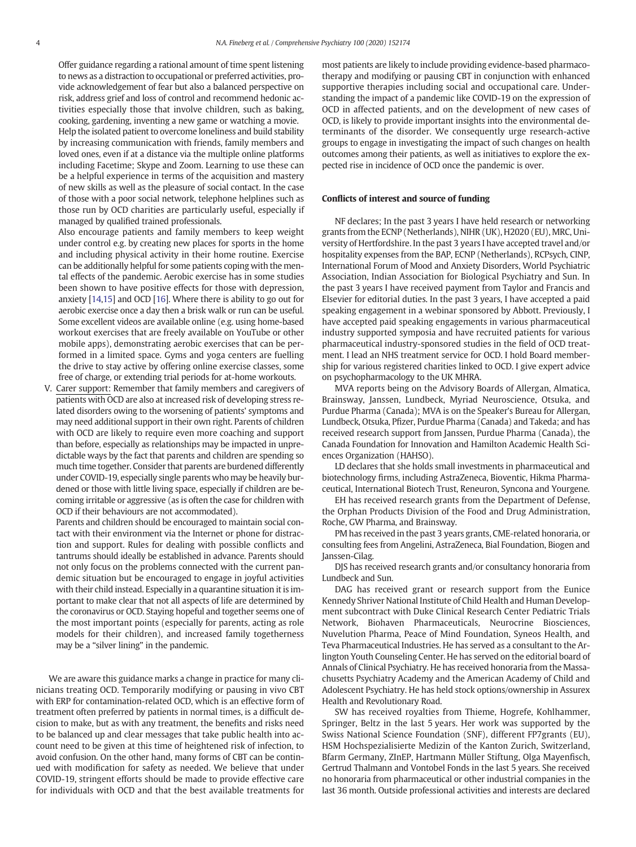Offer guidance regarding a rational amount of time spent listening to news as a distraction to occupational or preferred activities, provide acknowledgement of fear but also a balanced perspective on risk, address grief and loss of control and recommend hedonic activities especially those that involve children, such as baking, cooking, gardening, inventing a new game or watching a movie. Help the isolated patient to overcome loneliness and build stability by increasing communication with friends, family members and loved ones, even if at a distance via the multiple online platforms including Facetime; Skype and Zoom. Learning to use these can be a helpful experience in terms of the acquisition and mastery of new skills as well as the pleasure of social contact. In the case of those with a poor social network, telephone helplines such as those run by OCD charities are particularly useful, especially if managed by qualified trained professionals.

Also encourage patients and family members to keep weight under control e.g. by creating new places for sports in the home and including physical activity in their home routine. Exercise can be additionally helpful for some patients coping with the mental effects of the pandemic. Aerobic exercise has in some studies been shown to have positive effects for those with depression, anxiety [[14,15](#page-4-0)] and OCD [\[16](#page-4-0)]. Where there is ability to go out for aerobic exercise once a day then a brisk walk or run can be useful. Some excellent videos are available online (e.g. using home-based workout exercises that are freely available on YouTube or other mobile apps), demonstrating aerobic exercises that can be performed in a limited space. Gyms and yoga centers are fuelling the drive to stay active by offering online exercise classes, some free of charge, or extending trial periods for at-home workouts.

V. Carer support: Remember that family members and caregivers of patients with OCD are also at increased risk of developing stress related disorders owing to the worsening of patients' symptoms and may need additional support in their own right. Parents of children with OCD are likely to require even more coaching and support than before, especially as relationships may be impacted in unpredictable ways by the fact that parents and children are spending so much time together. Consider that parents are burdened differently under COVID-19, especially single parents who may be heavily burdened or those with little living space, especially if children are becoming irritable or aggressive (as is often the case for children with OCD if their behaviours are not accommodated).

Parents and children should be encouraged to maintain social contact with their environment via the Internet or phone for distraction and support. Rules for dealing with possible conflicts and tantrums should ideally be established in advance. Parents should not only focus on the problems connected with the current pandemic situation but be encouraged to engage in joyful activities with their child instead. Especially in a quarantine situation it is important to make clear that not all aspects of life are determined by the coronavirus or OCD. Staying hopeful and together seems one of the most important points (especially for parents, acting as role models for their children), and increased family togetherness may be a "silver lining" in the pandemic.

We are aware this guidance marks a change in practice for many clinicians treating OCD. Temporarily modifying or pausing in vivo CBT with ERP for contamination-related OCD, which is an effective form of treatment often preferred by patients in normal times, is a difficult decision to make, but as with any treatment, the benefits and risks need to be balanced up and clear messages that take public health into account need to be given at this time of heightened risk of infection, to avoid confusion. On the other hand, many forms of CBT can be continued with modification for safety as needed. We believe that under COVID-19, stringent efforts should be made to provide effective care for individuals with OCD and that the best available treatments for

most patients are likely to include providing evidence-based pharmacotherapy and modifying or pausing CBT in conjunction with enhanced supportive therapies including social and occupational care. Understanding the impact of a pandemic like COVID-19 on the expression of OCD in affected patients, and on the development of new cases of OCD, is likely to provide important insights into the environmental determinants of the disorder. We consequently urge research-active groups to engage in investigating the impact of such changes on health outcomes among their patients, as well as initiatives to explore the expected rise in incidence of OCD once the pandemic is over.

## Conflicts of interest and source of funding

NF declares; In the past 3 years I have held research or networking grants from the ECNP (Netherlands), NIHR (UK), H2020 (EU), MRC, University of Hertfordshire. In the past 3 years I have accepted travel and/or hospitality expenses from the BAP, ECNP (Netherlands), RCPsych, CINP, International Forum of Mood and Anxiety Disorders, World Psychiatric Association, Indian Association for Biological Psychiatry and Sun. In the past 3 years I have received payment from Taylor and Francis and Elsevier for editorial duties. In the past 3 years, I have accepted a paid speaking engagement in a webinar sponsored by Abbott. Previously, I have accepted paid speaking engagements in various pharmaceutical industry supported symposia and have recruited patients for various pharmaceutical industry-sponsored studies in the field of OCD treatment. I lead an NHS treatment service for OCD. I hold Board membership for various registered charities linked to OCD. I give expert advice on psychopharmacology to the UK MHRA.

MVA reports being on the Advisory Boards of Allergan, Almatica, Brainsway, Janssen, Lundbeck, Myriad Neuroscience, Otsuka, and Purdue Pharma (Canada); MVA is on the Speaker's Bureau for Allergan, Lundbeck, Otsuka, Pfizer, Purdue Pharma (Canada) and Takeda; and has received research support from Janssen, Purdue Pharma (Canada), the Canada Foundation for Innovation and Hamilton Academic Health Sciences Organization (HAHSO).

LD declares that she holds small investments in pharmaceutical and biotechnology firms, including AstraZeneca, Bioventic, Hikma Pharmaceutical, International Biotech Trust, Reneuron, Syncona and Yourgene.

EH has received research grants from the Department of Defense, the Orphan Products Division of the Food and Drug Administration, Roche, GW Pharma, and Brainsway.

PM has received in the past 3 years grants, CME-related honoraria, or consulting fees from Angelini, AstraZeneca, Bial Foundation, Biogen and Janssen-Cilag.

DJS has received research grants and/or consultancy honoraria from Lundbeck and Sun.

DAG has received grant or research support from the Eunice Kennedy Shriver National Institute of Child Health and Human Development subcontract with Duke Clinical Research Center Pediatric Trials Network, Biohaven Pharmaceuticals, Neurocrine Biosciences, Nuvelution Pharma, Peace of Mind Foundation, Syneos Health, and Teva Pharmaceutical Industries. He has served as a consultant to the Arlington Youth Counseling Center. He has served on the editorial board of Annals of Clinical Psychiatry. He has received honoraria from the Massachusetts Psychiatry Academy and the American Academy of Child and Adolescent Psychiatry. He has held stock options/ownership in Assurex Health and Revolutionary Road.

SW has received royalties from Thieme, Hogrefe, Kohlhammer, Springer, Beltz in the last 5 years. Her work was supported by the Swiss National Science Foundation (SNF), different FP7grants (EU), HSM Hochspezialisierte Medizin of the Kanton Zurich, Switzerland, Bfarm Germany, ZInEP, Hartmann Müller Stiftung, Olga Mayenfisch, Gertrud Thalmann and Vontobel Fonds in the last 5 years. She received no honoraria from pharmaceutical or other industrial companies in the last 36 month. Outside professional activities and interests are declared